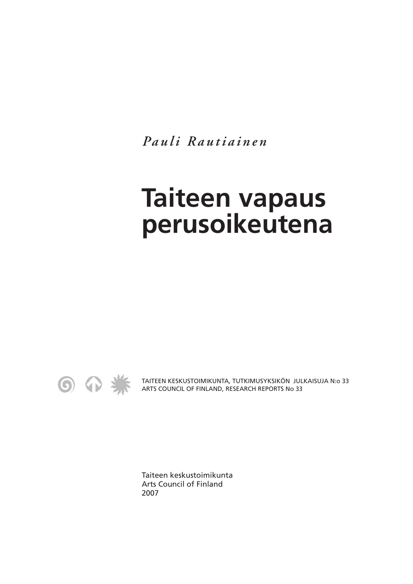*Pauli Rautiainen*

## **Taiteen vapaus perusoikeutena**



TAITEEN KESKUSTOIMIKUNTA, TUTKIMUSYKSIKÖN JULKAISUJA N:o 33 ARTS COUNCIL OF FINLAND, RESEARCH REPORTS No 33

Taiteen keskustoimikunta Arts Council of Finland 2007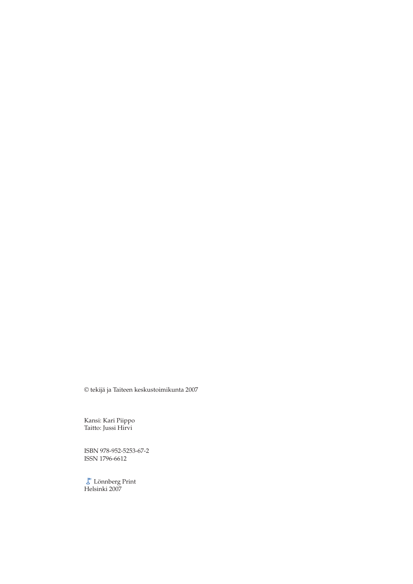© tekijä ja Taiteen keskustoimikunta 2007

Kansi: Kari Piippo Taitto: Jussi Hirvi

ISBN 978-952-5253-67-2 ISSN 1796-6612

Lönnberg Print Helsinki 2007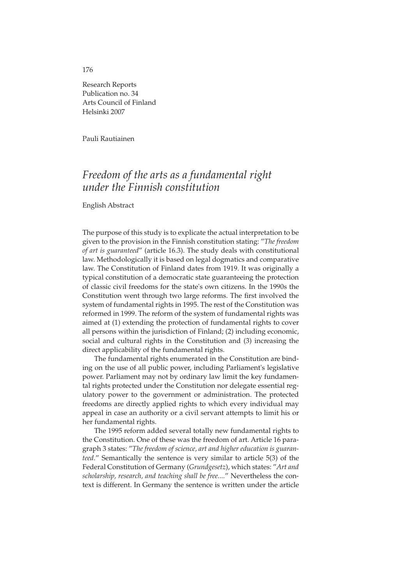## Research Reports Publication no. 34 Arts Council of Finland Helsinki 2007

Pauli Rautiainen

## *Freedom of the arts as a fundamental right under the Finnish constitution*

English Abstract

The purpose of this study is to explicate the actual interpretation to be given to the provision in the Finnish constitution stating: "*The freedom of art is guaranteed*" (article 16.3). The study deals with constitutional law. Methodologically it is based on legal dogmatics and comparative law. The Constitution of Finland dates from 1919. It was originally a typical constitution of a democratic state guaranteeing the protection of classic civil freedoms for the state's own citizens. In the 1990s the Constitution went through two large reforms. The first involved the system of fundamental rights in 1995. The rest of the Constitution was reformed in 1999. The reform of the system of fundamental rights was aimed at (1) extending the protection of fundamental rights to cover all persons within the jurisdiction of Finland; (2) including economic, social and cultural rights in the Constitution and (3) increasing the direct applicability of the fundamental rights.

The fundamental rights enumerated in the Constitution are binding on the use of all public power, including Parliament's legislative power. Parliament may not by ordinary law limit the key fundamental rights protected under the Constitution nor delegate essential regulatory power to the government or administration. The protected freedoms are directly applied rights to which every individual may appeal in case an authority or a civil servant attempts to limit his or her fundamental rights.

The 1995 reform added several totally new fundamental rights to the Constitution. One of these was the freedom of art. Article 16 paragraph 3 states: "*The freedom of science, art and higher education is guaranteed.*" Semantically the sentence is very similar to article 5(3) of the Federal Constitution of Germany (*Grundgesetz*), which states: "*Art and scholarship, research, and teaching shall be free....*" Nevertheless the context is different. In Germany the sentence is written under the article

176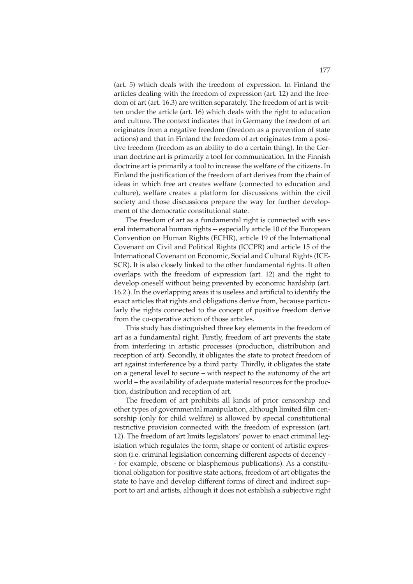(art. 5) which deals with the freedom of expression. In Finland the articles dealing with the freedom of expression (art. 12) and the freedom of art (art. 16.3) are written separately. The freedom of art is written under the article (art. 16) which deals with the right to education and culture. The context indicates that in Germany the freedom of art originates from a negative freedom (freedom as a prevention of state actions) and that in Finland the freedom of art originates from a positive freedom (freedom as an ability to do a certain thing). In the German doctrine art is primarily a tool for communication. In the Finnish doctrine art is primarily a tool to increase the welfare of the citizens. In Finland the justification of the freedom of art derives from the chain of ideas in which free art creates welfare (connected to education and culture), welfare creates a platform for discussions within the civil society and those discussions prepare the way for further development of the democratic constitutional state.

The freedom of art as a fundamental right is connected with several international human rights -- especially article 10 of the European Convention on Human Rights (ECHR), article 19 of the International Covenant on Civil and Political Rights (ICCPR) and article 15 of the International Covenant on Economic, Social and Cultural Rights (ICE-SCR). It is also closely linked to the other fundamental rights. It often overlaps with the freedom of expression (art. 12) and the right to develop oneself without being prevented by economic hardship (art. 16.2.). In the overlapping areas it is useless and artificial to identify the exact articles that rights and obligations derive from, because particularly the rights connected to the concept of positive freedom derive from the co-operative action of those articles.

This study has distinguished three key elements in the freedom of art as a fundamental right. Firstly, freedom of art prevents the state from interfering in artistic processes (production, distribution and reception of art). Secondly, it obligates the state to protect freedom of art against interference by a third party. Thirdly, it obligates the state on a general level to secure – with respect to the autonomy of the art world – the availability of adequate material resources for the production, distribution and reception of art.

The freedom of art prohibits all kinds of prior censorship and other types of governmental manipulation, although limited film censorship (only for child welfare) is allowed by special constitutional restrictive provision connected with the freedom of expression (art. 12). The freedom of art limits legislators' power to enact criminal legislation which regulates the form, shape or content of artistic expression (i.e. criminal legislation concerning different aspects of decency - - for example, obscene or blasphemous publications). As a constitutional obligation for positive state actions, freedom of art obligates the state to have and develop different forms of direct and indirect support to art and artists, although it does not establish a subjective right